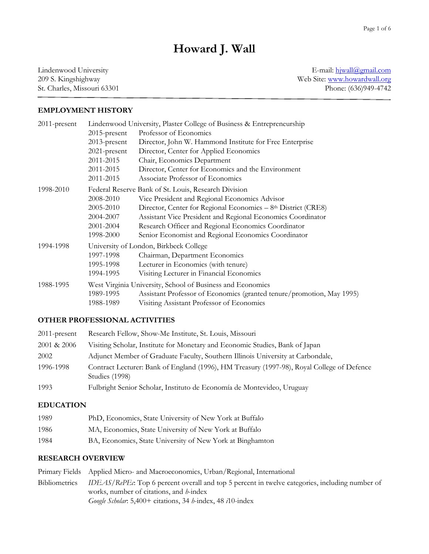# **Howard J. Wall**

Lindenwood University 209 S. Kingshighway St. Charles, Missouri 63301

E-mail: [hjwall@gmail.com](file:///C:/Users/hwall/Documents/DOCS/Job%20market/hwall@lindenwood.edu) Web Site: [www.howardwall.org](file:///C:/Users/hwall/Documents/DOCS/Job%20market/www.howardwall.org) Phone: (636)949-4742

# **EMPLOYMENT HISTORY**

| 2011-present | Lindenwood University, Plaster College of Business & Entrepreneurship |                                                                       |
|--------------|-----------------------------------------------------------------------|-----------------------------------------------------------------------|
|              | $2015$ -present                                                       | Professor of Economics                                                |
|              | $2013$ -present                                                       | Director, John W. Hammond Institute for Free Enterprise               |
|              | 2021-present                                                          | Director, Center for Applied Economics                                |
|              | 2011-2015                                                             | Chair, Economics Department                                           |
|              | 2011-2015                                                             | Director, Center for Economics and the Environment                    |
|              | 2011-2015                                                             | Associate Professor of Economics                                      |
| 1998-2010    | Federal Reserve Bank of St. Louis, Research Division                  |                                                                       |
|              | 2008-2010                                                             | Vice President and Regional Economics Advisor                         |
|              | 2005-2010                                                             | Director, Center for Regional Economics - 8th District (CRE8)         |
|              | 2004-2007                                                             | Assistant Vice President and Regional Economics Coordinator           |
|              | 2001-2004                                                             | Research Officer and Regional Economics Coordinator                   |
|              | 1998-2000                                                             | Senior Economist and Regional Economics Coordinator                   |
| 1994-1998    | University of London, Birkbeck College                                |                                                                       |
|              | 1997-1998                                                             | Chairman, Department Economics                                        |
|              | 1995-1998                                                             | Lecturer in Economics (with tenure)                                   |
|              | 1994-1995                                                             | Visiting Lecturer in Financial Economics                              |
| 1988-1995    | West Virginia University, School of Business and Economics            |                                                                       |
|              | 1989-1995                                                             | Assistant Professor of Economics (granted tenure/promotion, May 1995) |
|              | 1988-1989                                                             | Visiting Assistant Professor of Economics                             |

# **OTHER PROFESSIONAL ACTIVITIES**

| $2011$ -present | Research Fellow, Show-Me Institute, St. Louis, Missouri                                                      |  |
|-----------------|--------------------------------------------------------------------------------------------------------------|--|
| 2001 & 2006     | Visiting Scholar, Institute for Monetary and Economic Studies, Bank of Japan                                 |  |
| 2002            | Adjunct Member of Graduate Faculty, Southern Illinois University at Carbondale,                              |  |
| 1996-1998       | Contract Lecturer: Bank of England (1996), HM Treasury (1997-98), Royal College of Defence<br>Studies (1998) |  |
| 1993            | Fulbright Senior Scholar, Instituto de Economía de Montevideo, Uruguay                                       |  |

# **EDUCATION**

| 1989 | PhD, Economics, State University of New York at Buffalo   |
|------|-----------------------------------------------------------|
| 1986 | MA, Economics, State University of New York at Buffalo    |
| 1984 | BA, Economics, State University of New York at Binghamton |

# **RESEARCH OVERVIEW**

Primary Fields Applied Micro- and Macroeconomics, Urban/Regional, International Bibliometrics *IDEAS/RePEc*: Top 6 percent overall and top 5 percent in twelve categories, including number of works, number of citations, and *h*-index *Google Scholar*: 5,400+ citations, 34 *h*-index, 48 *i*10-index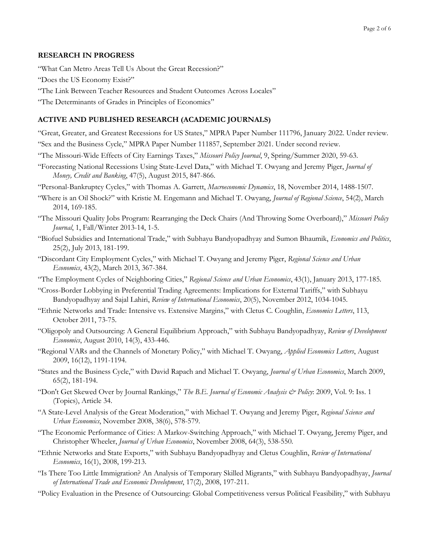# **RESEARCH IN PROGRESS**

"What Can Metro Areas Tell Us About the Great Recession?"

- "Does the US Economy Exist?"
- "The Link Between Teacher Resources and Student Outcomes Across Locales"
- "The Determinants of Grades in Principles of Economics"

# **ACTIVE AND PUBLISHED RESEARCH (ACADEMIC JOURNALS)**

- "Great, Greater, and Greatest Recessions for US States," MPRA Paper Number 111796, January 2022. Under review. "Sex and the Business Cycle," MPRA Paper Number 111857, September 2021. Under second review*.*
- "The Missouri-Wide Effects of City Earnings Taxes," *Missouri Policy Journal*, 9, Spring/Summer 2020, 59-63.
- "Forecasting National Recessions Using State-Level Data," with Michael T. Owyang and Jeremy Piger, *Journal of Money, Credit and Banking*, 47(5), August 2015, 847-866.
- "Personal-Bankruptcy Cycles," with Thomas A. Garrett, *Macroeconomic Dynamics*, 18, November 2014, 1488-1507.
- "Where is an Oil Shock?" with Kristie M. Engemann and Michael T. Owyang, *Journal of Regional Science*, 54(2), March 2014, 169-185.
- "The Missouri Quality Jobs Program: Rearranging the Deck Chairs (And Throwing Some Overboard)," *Missouri Policy Journal*, 1, Fall/Winter 2013-14, 1-5.
- "Biofuel Subsidies and International Trade," with Subhayu Bandyopadhyay and Sumon Bhaumik, *Economics and Politics*, 25(2), July 2013, 181-199.
- "Discordant City Employment Cycles," with Michael T. Owyang and Jeremy Piger, *Regional Science and Urban Economics*, 43(2), March 2013, 367-384*.*
- "The Employment Cycles of Neighboring Cities," *Regional Science and Urban Economics*, 43(1), January 2013, 177-185.
- "Cross-Border Lobbying in Preferential Trading Agreements: Implications for External Tariffs," with Subhayu Bandyopadhyay and Sajal Lahiri, *Review of International Economics*, 20(5), November 2012, 1034-1045.
- "Ethnic Networks and Trade: Intensive vs. Extensive Margins," with Cletus C. Coughlin, *Economics Letters*, 113, October 2011, 73-75.
- "Oligopoly and Outsourcing: A General Equilibrium Approach," with Subhayu Bandyopadhyay, *Review of Development Economics*, August 2010, 14(3), 433-446.
- "Regional VARs and the Channels of Monetary Policy," with Michael T. Owyang, *Applied Economics Letters*, August 2009, 16(12), 1191-1194.
- "States and the Business Cycle," with David Rapach and Michael T. Owyang, *Journal of Urban Economics*, March 2009, 65(2), 181-194.
- "Don't Get Skewed Over by Journal Rankings," *The B.E. Journal of Economic Analysis & Policy*: 2009, Vol. 9: Iss. 1 (Topics), Article 34.
- "A State-Level Analysis of the Great Moderation," with Michael T. Owyang and Jeremy Piger, *Regional Science and Urban Economics*, November 2008, 38(6), 578-579.
- "The Economic Performance of Cities: A Markov-Switching Approach," with Michael T. Owyang, Jeremy Piger, and Christopher Wheeler, *Journal of Urban Economics*, November 2008, 64(3), 538-550*.*
- "Ethnic Networks and State Exports," with Subhayu Bandyopadhyay and Cletus Coughlin, *Review of International Economics*, 16(1), 2008, 199-213.
- "Is There Too Little Immigration? An Analysis of Temporary Skilled Migrants," with Subhayu Bandyopadhyay, *Journal of International Trade and Economic Development*, 17(2), 2008, 197-211.
- "Policy Evaluation in the Presence of Outsourcing: Global Competitiveness versus Political Feasibility," with Subhayu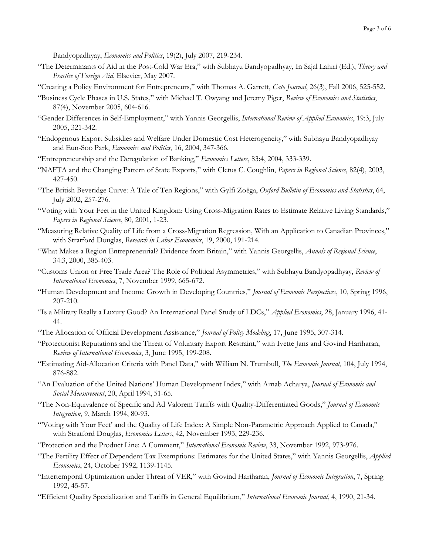Bandyopadhyay, *Economics and Politics*, 19(2), July 2007, 219-234.

- "The Determinants of Aid in the Post-Cold War Era," with Subhayu Bandyopadhyay, In Sajal Lahiri (Ed.), *Theory and Practice of Foreign Aid*, Elsevier, May 2007.
- "Creating a Policy Environment for Entrepreneurs," with Thomas A. Garrett, *Cato Journal*, 26(3), Fall 2006, 525-552.
- "Business Cycle Phases in U.S. States," with Michael T. Owyang and Jeremy Piger, *Review of Economics and Statistics*, 87(4), November 2005, 604-616.
- "Gender Differences in Self-Employment," with Yannis Georgellis, *International Review of Applied Economics*, 19:3, July 2005, 321-342.
- "Endogenous Export Subsidies and Welfare Under Domestic Cost Heterogeneity," with Subhayu Bandyopadhyay and Eun-Soo Park, *Economics and Politics*, 16, 2004, 347-366.
- "Entrepreneurship and the Deregulation of Banking," *Economics Letters*, 83:4, 2004, 333-339.
- "NAFTA and the Changing Pattern of State Exports," with Cletus C. Coughlin, *Papers in Regional Science*, 82(4), 2003, 427-450.
- "The British Beveridge Curve: A Tale of Ten Regions," with Gylfi Zoëga, *Oxford Bulletin of Economics and Statistics*, 64, July 2002, 257-276.
- "Voting with Your Feet in the United Kingdom: Using Cross-Migration Rates to Estimate Relative Living Standards," *Papers in Regional Science*, 80, 2001*,* 1-23*.*
- "Measuring Relative Quality of Life from a Cross-Migration Regression, With an Application to Canadian Provinces," with Stratford Douglas, *Research in Labor Economics*, 19, 2000, 191-214.
- "What Makes a Region Entrepreneurial? Evidence from Britain," with Yannis Georgellis, *Annals of Regional Science*, 34:3, 2000, 385-403.
- "Customs Union or Free Trade Area? The Role of Political Asymmetries," with Subhayu Bandyopadhyay, *Review of International Economics*, 7, November 1999, 665-672.
- "Human Development and Income Growth in Developing Countries," *Journal of Economic Perspectives*, 10, Spring 1996, 207-210.
- "Is a Military Really a Luxury Good? An International Panel Study of LDCs," *Applied Economics*, 28, January 1996, 41- 44.
- "The Allocation of Official Development Assistance," *Journal of Policy Modeling*, 17, June 1995, 307-314.
- "Protectionist Reputations and the Threat of Voluntary Export Restraint," with Ivette Jans and Govind Hariharan, *Review of International Economics*, 3, June 1995, 199-208.
- "Estimating Aid-Allocation Criteria with Panel Data," with William N. Trumbull, *The Economic Journal*, 104, July 1994, 876-882.
- "An Evaluation of the United Nations' Human Development Index," with Arnab Acharya, *Journal of Economic and Social Measurement*, 20, April 1994, 51-65.
- "The Non-Equivalence of Specific and Ad Valorem Tariffs with Quality-Differentiated Goods," *Journal of Economic Integration*, 9, March 1994, 80-93.
- "'Voting with Your Feet' and the Quality of Life Index: A Simple Non-Parametric Approach Applied to Canada," with Stratford Douglas, *Economics Letters*, 42, November 1993, 229-236.
- "Protection and the Product Line: A Comment," *International Economic Review*, 33, November 1992, 973-976.
- "The Fertility Effect of Dependent Tax Exemptions: Estimates for the United States," with Yannis Georgellis, *Applied Economics*, 24, October 1992, 1139-1145.
- "Intertemporal Optimization under Threat of VER," with Govind Hariharan, *Journal of Economic Integration*, 7, Spring 1992, 45-57.
- "Efficient Quality Specialization and Tariffs in General Equilibrium," *International Economic Journal*, 4, 1990, 21-34.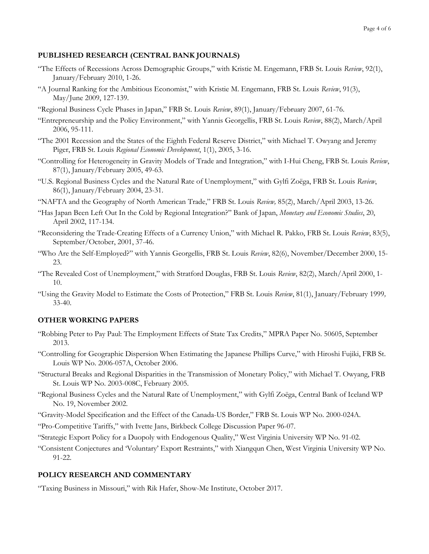# **PUBLISHED RESEARCH (CENTRAL BANK JOURNALS)**

- "The Effects of Recessions Across Demographic Groups," with Kristie M. Engemann, FRB St. Louis *Review*, 92(1), January/February 2010, 1-26.
- "A Journal Ranking for the Ambitious Economist," with Kristie M. Engemann, FRB St. Louis *Review*, 91(3), May/June 2009, 127-139.
- "Regional Business Cycle Phases in Japan," FRB St. Louis *Review*, 89(1), January/February 2007, 61-76.
- "Entrepreneurship and the Policy Environment," with Yannis Georgellis, FRB St. Louis *Review*, 88(2), March/April 2006, 95-111.
- "The 2001 Recession and the States of the Eighth Federal Reserve District," with Michael T. Owyang and Jeremy Piger, FRB St. Louis *Regional Economic Development*, 1(1), 2005, 3-16.
- "Controlling for Heterogeneity in Gravity Models of Trade and Integration," with I-Hui Cheng, FRB St. Louis *Review*, 87(1), January/February 2005, 49-63.
- "U.S. Regional Business Cycles and the Natural Rate of Unemployment," with Gylfi Zoëga, FRB St. Louis *Review*, 86(1), January/February 2004, 23-31.
- "NAFTA and the Geography of North American Trade," FRB St. Louis *Review,* 85(2), March/April 2003, 13-26.
- "Has Japan Been Left Out In the Cold by Regional Integration?" Bank of Japan, *Monetary and Economic Studies*, 20, April 2002, 117-134.
- "Reconsidering the Trade-Creating Effects of a Currency Union," with Michael R. Pakko, FRB St. Louis *Review*, 83(5), September/October, 2001, 37-46.
- "Who Are the Self-Employed?" with Yannis Georgellis, FRB St. Louis *Review*, 82(6), November/December 2000, 15- 23*.*
- "The Revealed Cost of Unemployment," with Stratford Douglas, FRB St. Louis *Review*, 82(2), March/April 2000, 1- 10.
- "Using the Gravity Model to Estimate the Costs of Protection," FRB St. Louis *Review*, 81(1), January/February 1999*,*  33-40.

# **OTHER WORKING PAPERS**

- "Robbing Peter to Pay Paul: The Employment Effects of State Tax Credits," MPRA Paper No. 50605, September 2013.
- "Controlling for Geographic Dispersion When Estimating the Japanese Phillips Curve," with Hiroshi Fujiki, FRB St. Louis WP No. 2006-057A, October 2006.
- "Structural Breaks and Regional Disparities in the Transmission of Monetary Policy," with Michael T. Owyang, FRB St. Louis WP No. 2003-008C, February 2005.
- "Regional Business Cycles and the Natural Rate of Unemployment," with Gylfi Zoëga, Central Bank of Iceland WP No. 19, November 2002.
- "Gravity-Model Specification and the Effect of the Canada-US Border," FRB St. Louis WP No. 2000-024A.
- "Pro-Competitive Tariffs," with Ivette Jans, Birkbeck College Discussion Paper 96-07.
- "Strategic Export Policy for a Duopoly with Endogenous Quality," West Virginia University WP No. 91-02.
- "Consistent Conjectures and 'Voluntary' Export Restraints," with Xiangqun Chen, West Virginia University WP No. 91-22.

# **POLICY RESEARCH AND COMMENTARY**

"Taxing Business in Missouri," with Rik Hafer, Show-Me Institute, October 2017.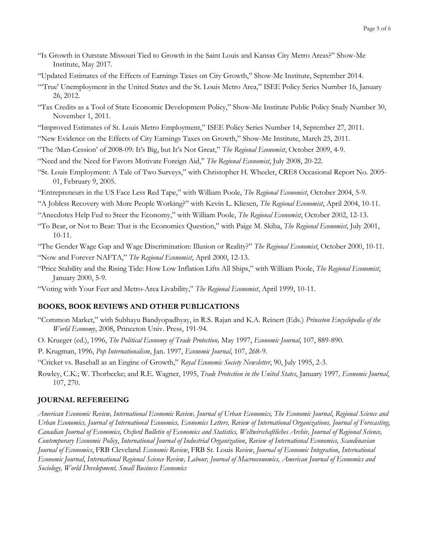- "Is Growth in Outstate Missouri Tied to Growth in the Saint Louis and Kansas City Metro Areas?" Show-Me Institute, May 2017.
- "Updated Estimates of the Effects of Earnings Taxes on City Growth," Show-Me Institute, September 2014.
- "'True' Unemployment in the United States and the St. Louis Metro Area," ISEE Policy Series Number 16, January 26, 2012.
- "Tax Credits as a Tool of State Economic Development Policy," Show-Me Institute Public Policy Study Number 30, November 1, 2011.
- "Improved Estimates of St. Louis Metro Employment," ISEE Policy Series Number 14, September 27, 2011.
- "New Evidence on the Effects of City Earnings Taxes on Growth," Show-Me Institute, March 25, 2011.
- "The 'Man-Cession' of 2008-09: It's Big, but It's Not Great," *The Regional Economist*, October 2009, 4-9.
- "Need and the Need for Favors Motivate Foreign Aid," *The Regional Economist*, July 2008, 20-22.
- "St. Louis Employment: A Tale of Two Surveys," with Christopher H. Wheeler, CRE8 Occasional Report No. 2005- 01, February 9, 2005.
- "Entrepreneurs in the US Face Less Red Tape," with William Poole, *The Regional Economist*, October 2004, 5-9.

"A Jobless Recovery with More People Working?" with Kevin L. Kliesen, *The Regional Economist*, April 2004, 10-11.

"Anecdotes Help Fed to Steer the Economy," with William Poole, *The Regional Economist*, October 2002, 12-13.

"To Bear, or Not to Bear: That is the Economics Question," with Paige M. Skiba, *The Regional Economist*, July 2001, 10-11.

"The Gender Wage Gap and Wage Discrimination: Illusion or Reality?" *The Regional Economist*, October 2000, 10-11. "Now and Forever NAFTA," *The Regional Economist*, April 2000, 12-13.

- "Price Stability and the Rising Tide: How Low Inflation Lifts All Ships," with William Poole, *The Regional Economist*, January 2000, 5-9.
- "Voting with Your Feet and Metro-Area Livability," *The Regional Economist*, April 1999, 10-11.

## **BOOKS, BOOK REVIEWS AND OTHER PUBLICATIONS**

- "Common Market," with Subhayu Bandyopadhyay, in R.S. Rajan and K.A. Reinert (Eds.) *Princeton Encyclopedia of the World Economy*, 2008, Princeton Univ. Press, 191-94.
- O. Krueger (ed.), 1996, *The Political Economy of Trade Protection,* May 1997, *Economic Journal*, 107, 889-890.
- P. Krugman, 1996, *Pop Internationalism*, Jan. 1997, *Economic Journal*, 107, 268-9.
- "Cricket vs. Baseball as an Engine of Growth," *Royal Economic Society Newsletter*, 90, July 1995, 2-3.
- Rowley, C.K.; W. Thorbecke; and R.E. Wagner, 1995, *Trade Protection in the United States*, January 1997*, Economic Journal*, 107, 270.

#### **JOURNAL REFEREEING**

*American Economic Review, International Economic Review, Journal of Urban Economics, The Economic Journal*, *Regional Science and Urban Economics, Journal of International Economics, Economics Letters, Review of International Organizations, Journal of Forecasting, Canadian Journal of Economics, Oxford Bulletin of Economics and Statistics, Weltwirschaftliches Archiv, Journal of Regional Science, Contemporary Economic Policy*, *International Journal of Industrial Organization*, *Review of International Economics, Scandinavian Journal of Economics*, FRB Cleveland *Economic Review*, FRB St. Louis *Review*, *Journal of Economic Integration*, *International Economic Journal*, *International Regional Science Review, Labour, Journal of Macroeconomics, American Journal of Economics and Sociology, World Development, Small Business Economics*